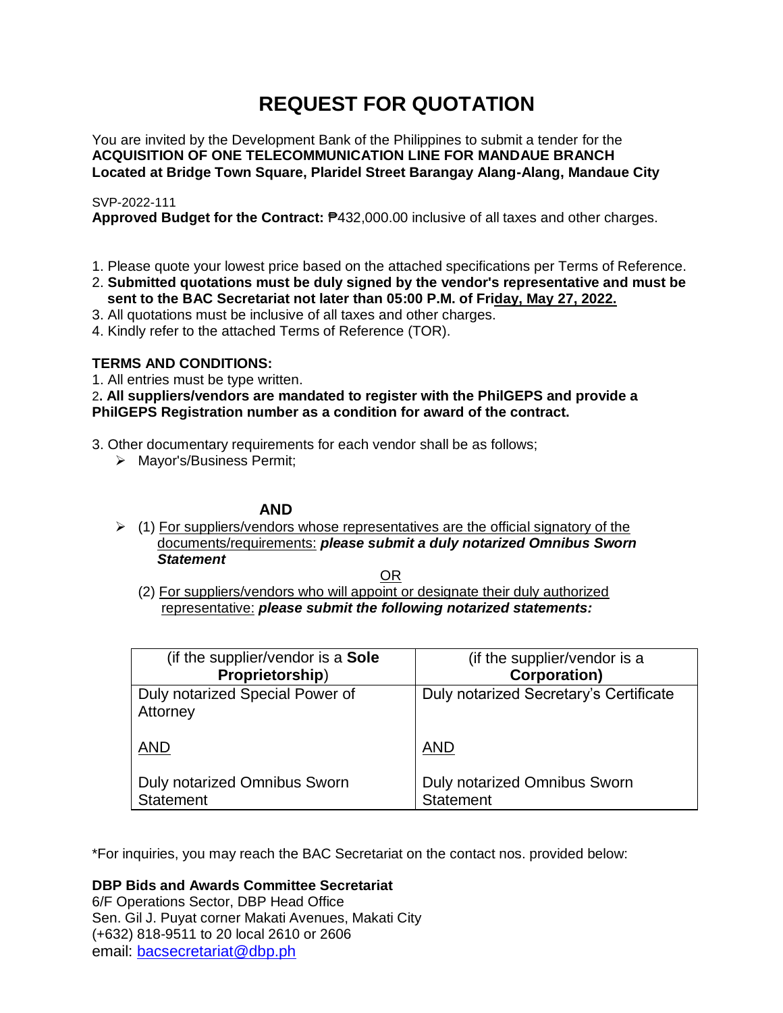# **REQUEST FOR QUOTATION**

You are invited by the Development Bank of the Philippines to submit a tender for the **ACQUISITION OF ONE TELECOMMUNICATION LINE FOR MANDAUE BRANCH Located at Bridge Town Square, Plaridel Street Barangay Alang-Alang, Mandaue City**

# SVP-2022-111

**Approved Budget for the Contract:** ₱432,000.00 inclusive of all taxes and other charges.

- 1. Please quote your lowest price based on the attached specifications per Terms of Reference.
- 2. **Submitted quotations must be duly signed by the vendor's representative and must be sent to the BAC Secretariat not later than 05:00 P.M. of Friday, May 27, 2022.**
- 3. All quotations must be inclusive of all taxes and other charges.
- 4. Kindly refer to the attached Terms of Reference (TOR).

# **TERMS AND CONDITIONS:**

1. All entries must be type written.

2**. All suppliers/vendors are mandated to register with the PhilGEPS and provide a PhilGEPS Registration number as a condition for award of the contract.**

- 3. Other documentary requirements for each vendor shall be as follows;
	- > Mayor's/Business Permit;

# **AND**

 $\geq$  (1) For suppliers/vendors whose representatives are the official signatory of the documents/requirements: *please submit a duly notarized Omnibus Sworn Statement*

<u>OR Starting and the Starting OR Starting</u>

(2) For suppliers/vendors who will appoint or designate their duly authorized representative: *please submit the following notarized statements:*

| (if the supplier/vendor is a Sole                | (if the supplier/vendor is a                     |
|--------------------------------------------------|--------------------------------------------------|
| Proprietorship)                                  | <b>Corporation)</b>                              |
| Duly notarized Special Power of<br>Attorney      | Duly notarized Secretary's Certificate           |
| <b>AND</b>                                       | <b>AND</b>                                       |
| Duly notarized Omnibus Sworn<br><b>Statement</b> | Duly notarized Omnibus Sworn<br><b>Statement</b> |

\*For inquiries, you may reach the BAC Secretariat on the contact nos. provided below:

**DBP Bids and Awards Committee Secretariat** 

6/F Operations Sector, DBP Head Office Sen. Gil J. Puyat corner Makati Avenues, Makati City (+632) 818-9511 to 20 local 2610 or 2606 email: [bacsecretariat@dbp.ph](mailto:bacsecretariat@dbp.ph)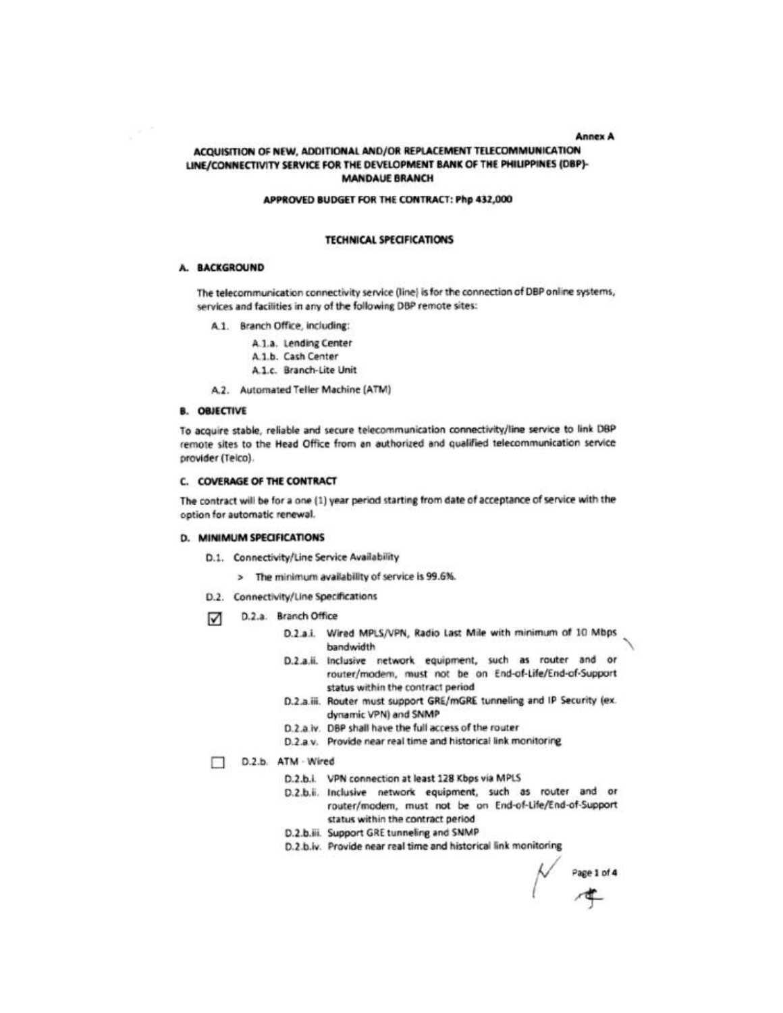#### **Annex A**

### ACQUISITION OF NEW, ADDITIONAL AND/OR REPLACEMENT TELECOMMUNICATION LINE/CONNECTIVITY SERVICE FOR THE DEVELOPMENT BANK OF THE PHILIPPINES (DBP)-**MANDAUE BRANCH**

#### APPROVED BUDGET FOR THE CONTRACT: Php 432,000

#### **TECHNICAL SPECIFICATIONS**

#### A. BACKGROUND

The telecommunication connectivity service (line) is for the connection of DBP online systems, services and facilities in any of the following DBP remote sites:

- A.1. Branch Office, including:
	- A.1.a. Lending Center
	- A.1.b. Cash Center
	- A.1.c. Branch-Lite Unit
- A.2. Automated Teller Machine (ATM)

## **B. OBJECTIVE**

To acquire stable, reliable and secure telecommunication connectivity/line service to link DBP remote sites to the Head Office from an authorized and qualified telecommunication service provider (Telco).

#### **C. COVERAGE OF THE CONTRACT**

The contract will be for a one (1) year period starting from date of acceptance of service with the option for automatic renewal.

#### D. MINIMUM SPECIFICATIONS

- D.1. Connectivity/Line Service Availability
	- > The minimum availability of service is 99.6%.
- D.2. Connectivity/Line Specifications
- D.2.a. Branch Office М
	- D.2.a.i. Wired MPLS/VPN, Radio Last Mile with minimum of 10 Mbps bandwidth
	- D.2.a.ii. Inclusive network equipment, such as router and or router/modem, must not be on End-of-Life/End-of-Support status within the contract period
	- D.2.a.iii. Router must support GRE/mGRE tunneling and IP Security (ex. dynamic VPN) and SNMP
	- D.2.a.iv. DBP shall have the full access of the router
	- D.2.a.v. Provide near real time and historical link monitoring

## D.2.b. ATM - Wired

- D.2.b.i. VPN connection at least 128 Kbps via MPLS
- D.2.b.ii. Inclusive network equipment, such as router and or router/modem, must not be on End-of-Life/End-of-Support status within the contract period
- D.2.b.iii. Support GRE tunneling and SNMP
- D.2.b.iv. Provide near real time and historical link monitoring

 $\overline{P}$  Page 1 of 4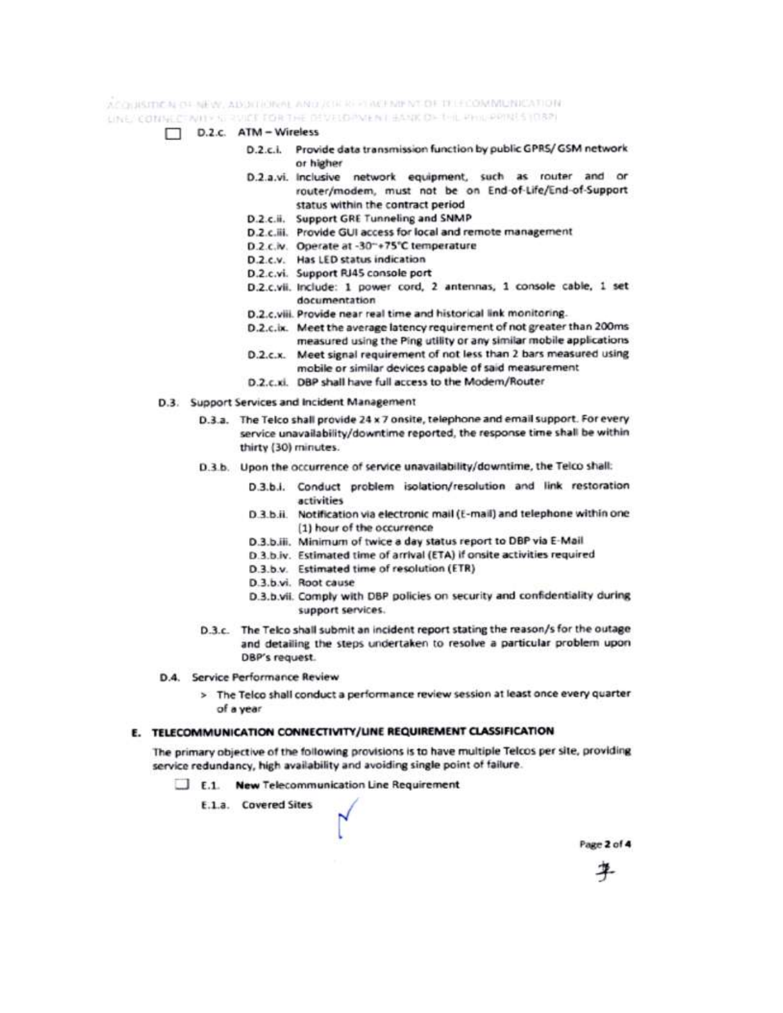ACCHISITION OF NEW, ADDITIONAL AND JOR REPORTED HE COMMUNICATION: LINE CONNECTIVITY IN RUICE FOR THE DEVELOPMENT BANK OF this PHISPPINES (087)

- D.2.c. ATM Wireless
	- D.2.c.i. Provide data transmission function by public GPRS/ GSM network or higher
	- D.2.a.vi. Inclusive network equipment, such as router and or router/modem, must not be on End-of-Life/End-of-Support status within the contract period
	- D.2.c.ii. Support GRE Tunneling and SNMP
	- D.2.c.iii. Provide GUI access for local and remote management
	- D.2.c.iv. Operate at -30"+75°C temperature
	- D.2.c.v. Has LED status indication
	- D.2.c.vi. Support RJ45 console port
	- D.2.c.vii. Include: 1 power cord, 2 antennas, 1 console cable, 1 set documentation
	- D.2.c.viii. Provide near real time and historical link monitoring.
	- D.2.c.ix. Meet the average latency requirement of not greater than 200ms measured using the Ping utility or any similar mobile applications
	- D.2.c.x. Meet signal requirement of not less than 2 bars measured using mobile or similar devices capable of said measurement
	- D.2.c.xi. DBP shall have full access to the Modem/Router
- D.3. Support Services and Incident Management
	- D.3.a. The Telco shall provide 24 x 7 onsite, telephone and email support. For every service unavailability/downtime reported, the response time shall be within thirty (30) minutes.
	- D.3.b. Upon the occurrence of service unavailability/downtime, the Telco shall:
		- D.3.b.i. Conduct problem isolation/resolution and link restoration activities
		- D.3.b.ii. Notification via electronic mail (E-mail) and telephone within one (1) hour of the occurrence
		- D.3.b.iii. Minimum of twice a day status report to DBP via E-Mail
		- D.3.b.iv. Estimated time of arrival (ETA) if onsite activities required
		- D.3.b.v. Estimated time of resolution (ETR)
		- D.3.b.vi. Root cause
		- D.3.b.vii. Comply with DBP policies on security and confidentiality during support services.
	- D.3.c. The Telco shall submit an incident report stating the reason/s for the outage and detailing the steps undertaken to resolve a particular problem upon DBP's request.
- D.4. Service Performance Review
	- > The Telco shall conduct a performance review session at least once every quarter of a year

## E. TELECOMMUNICATION CONNECTIVITY/UNE REQUIREMENT CLASSIFICATION

The primary objective of the following provisions is to have multiple Telcos per site, providing service redundancy, high availability and avoiding single point of failure.

- E.1. New Telecommunication Line Requirement
	- E.1.a. Covered Sites

Page 2 of 4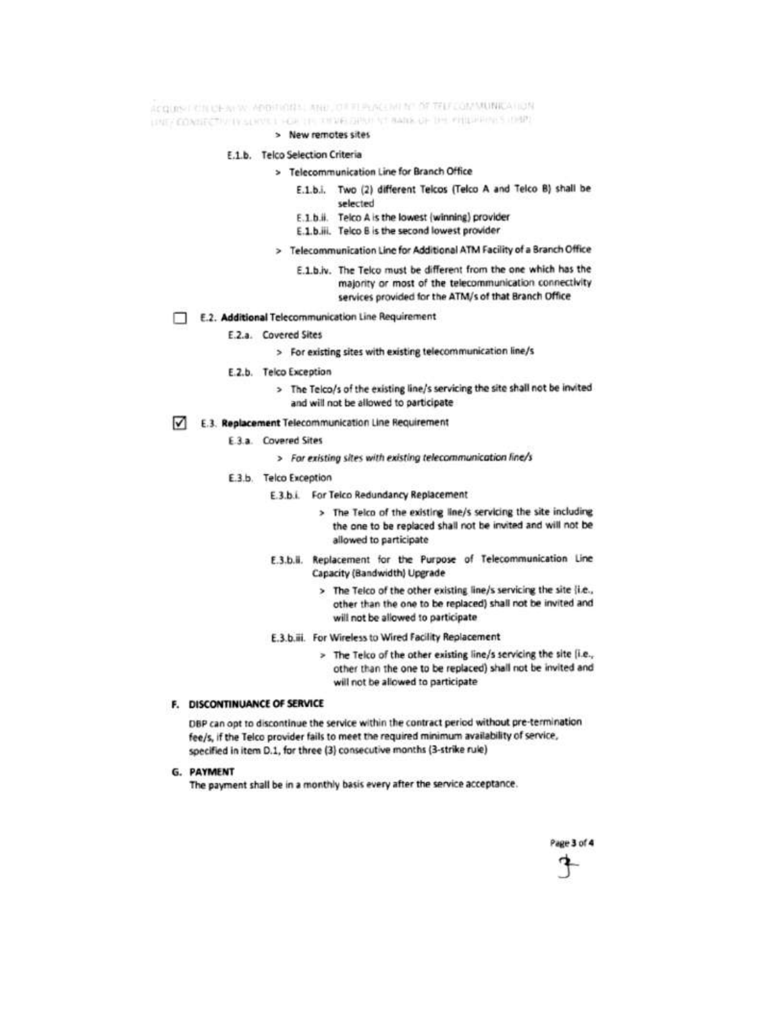ACQUIST CITIONALLY, APPRICIDE AND JOILEEPLACENT Nº OF TELECOMMUNICATION UNE CONSECTIVITY SUIVE I HOUSE OF DEVELOPMENT BANK OF THE PREPERTY LOAD.

> New remotes sites

#### E.1.b. Telco Selection Criteria

- > Telecommunication Line for Branch Office
	- E.1.b.i. Two (2) different Telcos (Telco A and Telco B) shall be selected
	- E.1.b.ii. Telco A is the lowest (winning) provider
	- E.1.b.iii. Telco B is the second lowest provider
- > Telecommunication Line for Additional ATM Facility of a Branch Office
	- E.1.b.iv. The Telco must be different from the one which has the majority or most of the telecommunication connectivity services provided for the ATM/s of that Branch Office
- E.2. Additional Telecommunication Line Requirement п
	- E.2.a. Covered Sites
		- > For existing sites with existing telecommunication line/s
	- E.2.b. Telco Exception
		- > The Telco/s of the existing line/s servicing the site shall not be invited and will not be allowed to participate
- E.3. Replacement Telecommunication Line Requirement М
	- E.3.a. Covered Sites
		- > For existing sites with existing telecommunication line/s
	- E.3.b. Telco Exception
		- E.3.b.i. For Teico Redundancy Replacement
			- > The Telco of the existing line/s servicing the site including the one to be replaced shall not be invited and will not be allowed to participate
		- E.3.b.ii. Replacement for the Purpose of Telecommunication Line Capacity (Bandwidth) Upgrade
			- > The Telco of the other existing line/s servicing the site {i.e., other than the one to be replaced) shall not be invited and will not be allowed to participate
		- E.3.b.iii. For Wireless to Wired Facility Replacement
			- > The Telco of the other existing line/s servicing the site (i.e., other than the one to be replaced) shall not be invited and will not be allowed to participate

#### F. DISCONTINUANCE OF SERVICE

DBP can opt to discontinue the service within the contract period without pre-termination fee/s, if the Telco provider fails to meet the required minimum availability of service, specified in item D.1, for three (3) consecutive months (3-strike rule)

**G. PAYMENT** 

The payment shall be in a monthly basis every after the service acceptance.